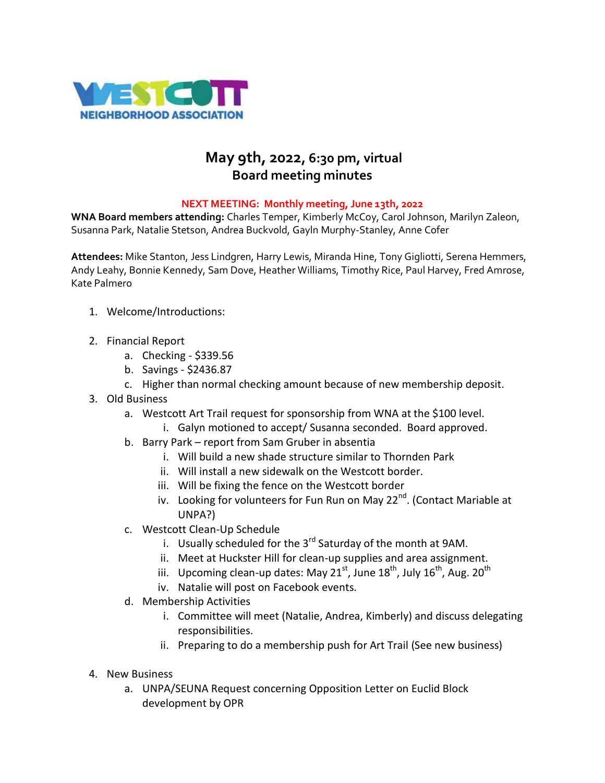

## **May 9th, 2022, 6:30 pm, virtual Board meeting minutes**

## **NEXT MEETING: Monthly meeting, June 13th, 2022**

**WNA Board members attending:** Charles Temper, Kimberly McCoy, Carol Johnson, Marilyn Zaleon, Susanna Park, Natalie Stetson, Andrea Buckvold, Gayln Murphy-Stanley, Anne Cofer

**Attendees:** Mike Stanton, Jess Lindgren, Harry Lewis, Miranda Hine, Tony Gigliotti, Serena Hemmers, Andy Leahy, Bonnie Kennedy, Sam Dove, Heather Williams, Timothy Rice, Paul Harvey, Fred Amrose, Kate Palmero

- 1. Welcome/Introductions:
- 2. Financial Report
	- a. Checking \$339.56
	- b. Savings \$2436.87
	- c. Higher than normal checking amount because of new membership deposit.
- 3. Old Business
	- a. Westcott Art Trail request for sponsorship from WNA at the \$100 level.
		- i. Galyn motioned to accept/ Susanna seconded. Board approved.
	- b. Barry Park report from Sam Gruber in absentia
		- i. Will build a new shade structure similar to Thornden Park
		- ii. Will install a new sidewalk on the Westcott border.
		- iii. Will be fixing the fence on the Westcott border
		- iv. Looking for volunteers for Fun Run on May  $22^{nd}$ . (Contact Mariable at UNPA?)
	- c. Westcott Clean-Up Schedule
		- i. Usually scheduled for the  $3^{rd}$  Saturday of the month at 9AM.
		- ii. Meet at Huckster Hill for clean-up supplies and area assignment.
		- iii. Upcoming clean-up dates: May  $21^{st}$ , June  $18^{th}$ , July  $16^{th}$ , Aug.  $20^{th}$
		- iv. Natalie will post on Facebook events.
	- d. Membership Activities
		- i. Committee will meet (Natalie, Andrea, Kimberly) and discuss delegating responsibilities.
		- ii. Preparing to do a membership push for Art Trail (See new business)
- 4. New Business
	- a. UNPA/SEUNA Request concerning Opposition Letter on Euclid Block development by OPR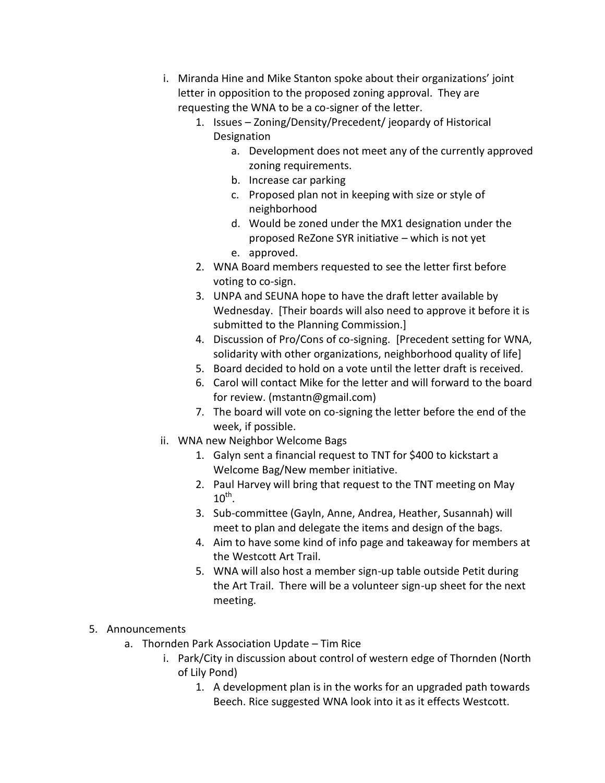- i. Miranda Hine and Mike Stanton spoke about their organizations' joint letter in opposition to the proposed zoning approval. They are requesting the WNA to be a co-signer of the letter.
	- 1. Issues Zoning/Density/Precedent/ jeopardy of Historical Designation
		- a. Development does not meet any of the currently approved zoning requirements.
		- b. Increase car parking
		- c. Proposed plan not in keeping with size or style of neighborhood
		- d. Would be zoned under the MX1 designation under the proposed ReZone SYR initiative – which is not yet
		- e. approved.
	- 2. WNA Board members requested to see the letter first before voting to co-sign.
	- 3. UNPA and SEUNA hope to have the draft letter available by Wednesday. [Their boards will also need to approve it before it is submitted to the Planning Commission.]
	- 4. Discussion of Pro/Cons of co-signing. [Precedent setting for WNA, solidarity with other organizations, neighborhood quality of life]
	- 5. Board decided to hold on a vote until the letter draft is received.
	- 6. Carol will contact Mike for the letter and will forward to the board for review. (mstantn@gmail.com)
	- 7. The board will vote on co-signing the letter before the end of the week, if possible.
- ii. WNA new Neighbor Welcome Bags
	- 1. Galyn sent a financial request to TNT for \$400 to kickstart a Welcome Bag/New member initiative.
	- 2. Paul Harvey will bring that request to the TNT meeting on May  $10^{\text{th}}$ .
	- 3. Sub-committee (Gayln, Anne, Andrea, Heather, Susannah) will meet to plan and delegate the items and design of the bags.
	- 4. Aim to have some kind of info page and takeaway for members at the Westcott Art Trail.
	- 5. WNA will also host a member sign-up table outside Petit during the Art Trail. There will be a volunteer sign-up sheet for the next meeting.

## 5. Announcements

- a. Thornden Park Association Update Tim Rice
	- i. Park/City in discussion about control of western edge of Thornden (North of Lily Pond)
		- 1. A development plan is in the works for an upgraded path towards Beech. Rice suggested WNA look into it as it effects Westcott.